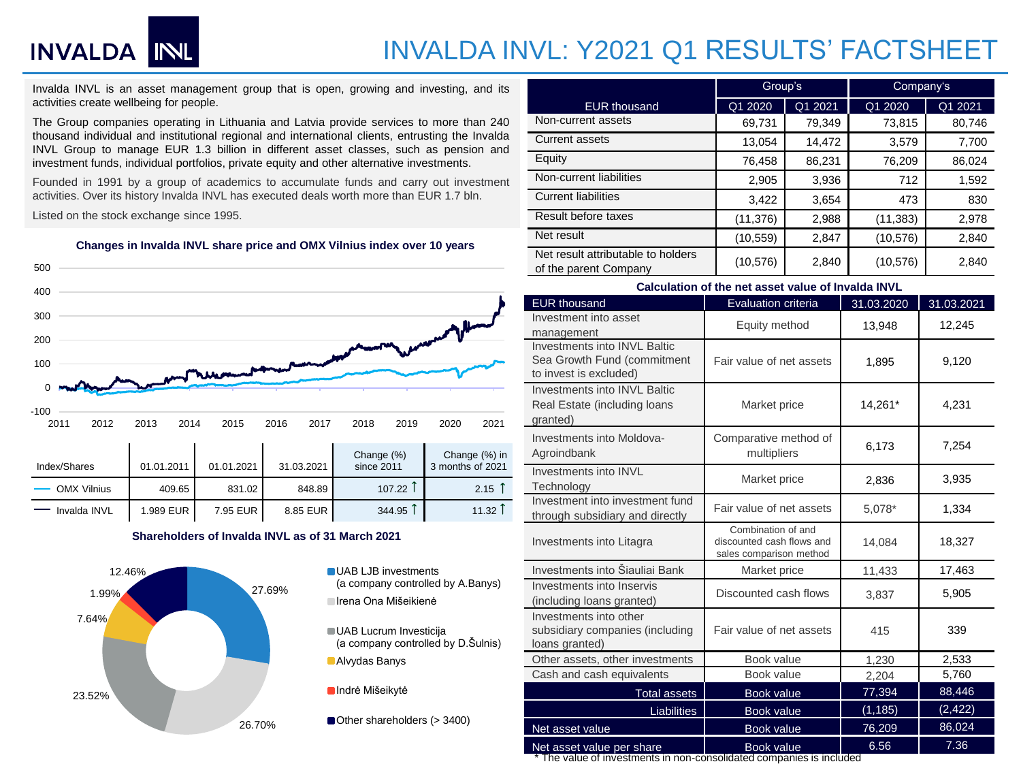# INVALDA INL

## INVALDA INVL: Y2021 Q1 RESULTS' FACTSHEET

Invalda INVL is an asset management group that is open, growing and investing, and its activities create wellbeing for people.

The Group companies operating in Lithuania and Latvia provide services to more than 240 thousand individual and institutional regional and international clients, entrusting the Invalda INVL Group to manage EUR 1.3 billion in different asset classes, such as pension and investment funds, individual portfolios, private equity and other alternative investments.

Founded in 1991 by a group of academics to accumulate funds and carry out investment activities. Over its history Invalda INVL has executed deals worth more than EUR 1.7 bln.

Listed on the stock exchange since 1995.

**Changes in Invalda INVL share price and OMX Vilnius index over 10 years**



### **Shareholders of Invalda INVL as of 31 March 2021**



(a company controlled by A.Banys) Irena Ona Mišeikienė

UAB Lucrum Investicija (a company controlled by D.Šulnis) Alvydas Banys

**Indrė Mišeikytė** 

Other shareholders (> 3400)

|                                                             | Group's   |         | Company's |         |  |
|-------------------------------------------------------------|-----------|---------|-----------|---------|--|
| <b>EUR thousand</b>                                         | Q1 2020   | Q1 2021 | Q1 2020   | Q1 2021 |  |
| Non-current assets                                          | 69,731    | 79,349  | 73,815    | 80,746  |  |
| <b>Current assets</b>                                       | 13,054    | 14,472  | 3,579     | 7,700   |  |
| Equity                                                      | 76,458    | 86,231  | 76,209    | 86,024  |  |
| Non-current liabilities                                     | 2,905     | 3,936   | 712       | 1,592   |  |
| <b>Current liabilities</b>                                  | 3,422     | 3,654   | 473       | 830     |  |
| Result before taxes                                         | (11, 376) | 2,988   | (11, 383) | 2,978   |  |
| Net result                                                  | (10, 559) | 2,847   | (10, 576) | 2,840   |  |
| Net result attributable to holders<br>of the parent Company | (10, 576) | 2,840   | (10, 576) | 2,840   |  |

| Calculation of the net asset value of Invalda INVL                                    |                                                                            |            |            |  |  |  |  |
|---------------------------------------------------------------------------------------|----------------------------------------------------------------------------|------------|------------|--|--|--|--|
| <b>EUR thousand</b>                                                                   | <b>Evaluation criteria</b>                                                 | 31.03.2020 | 31.03.2021 |  |  |  |  |
| Investment into asset<br>management                                                   | Equity method                                                              | 13,948     | 12,245     |  |  |  |  |
| Investments into INVL Baltic<br>Sea Growth Fund (commitment<br>to invest is excluded) | Fair value of net assets<br>1,895                                          |            | 9,120      |  |  |  |  |
| Investments into INVL Baltic<br>Real Estate (including loans<br>granted)              | Market price                                                               | 14,261*    | 4,231      |  |  |  |  |
| Investments into Moldova-<br>Agroindbank                                              | Comparative method of<br>multipliers                                       | 6,173      | 7,254      |  |  |  |  |
| Investments into INVL<br>Technology                                                   | Market price                                                               | 2,836      | 3,935      |  |  |  |  |
| Investment into investment fund<br>through subsidiary and directly                    | Fair value of net assets                                                   | 5,078*     | 1,334      |  |  |  |  |
| Investments into Litagra                                                              | Combination of and<br>discounted cash flows and<br>sales comparison method | 14,084     | 18,327     |  |  |  |  |
| Investments into Šiauliai Bank                                                        | Market price                                                               | 11,433     | 17,463     |  |  |  |  |
| Investments into Inservis<br>(including loans granted)                                | Discounted cash flows                                                      | 3,837      | 5,905      |  |  |  |  |
| Investments into other<br>subsidiary companies (including<br>loans granted)           | Fair value of net assets                                                   | 415        | 339        |  |  |  |  |
| Other assets, other investments                                                       | Book value                                                                 | 1,230      | 2,533      |  |  |  |  |
| Cash and cash equivalents                                                             | Book value                                                                 | 2,204      | 5,760      |  |  |  |  |
| <b>Total assets</b>                                                                   | Book value                                                                 | 77,394     | 88,446     |  |  |  |  |
| Liabilities                                                                           | Book value                                                                 | (1, 185)   | (2, 422)   |  |  |  |  |
| Net asset value                                                                       | Book value                                                                 | 76,209     | 86,024     |  |  |  |  |
| Net asset value per share                                                             | <b>Book value</b>                                                          | 6.56       | 7.36       |  |  |  |  |

\* The value of investments in non-consolidated companies is included